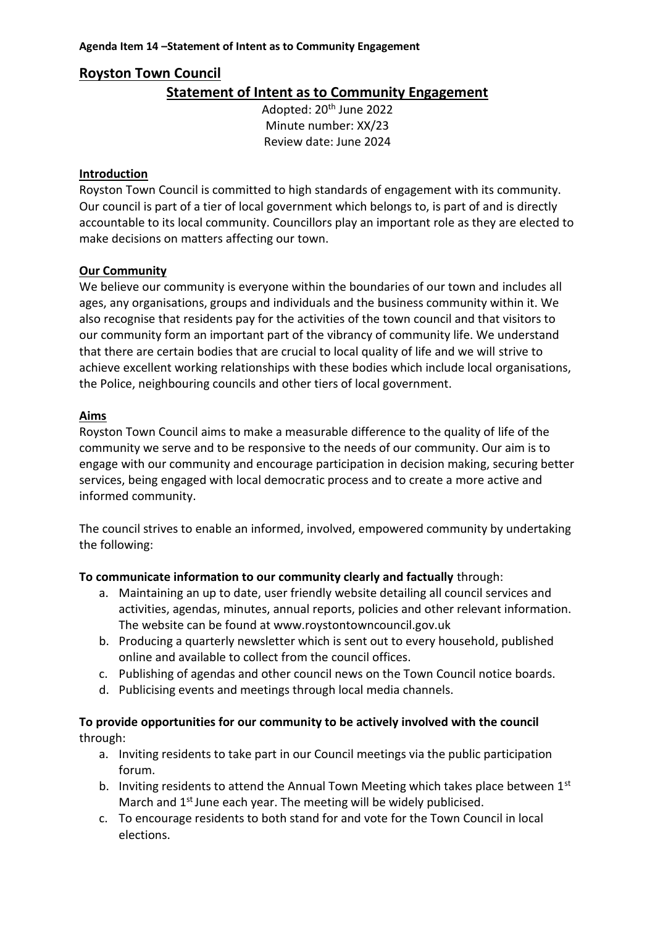# **Royston Town Council**

# **Statement of Intent as to Community Engagement**

Adopted: 20th June 2022 Minute number: XX/23 Review date: June 2024

### **Introduction**

Royston Town Council is committed to high standards of engagement with its community. Our council is part of a tier of local government which belongs to, is part of and is directly accountable to its local community. Councillors play an important role as they are elected to make decisions on matters affecting our town.

# **Our Community**

We believe our community is everyone within the boundaries of our town and includes all ages, any organisations, groups and individuals and the business community within it. We also recognise that residents pay for the activities of the town council and that visitors to our community form an important part of the vibrancy of community life. We understand that there are certain bodies that are crucial to local quality of life and we will strive to achieve excellent working relationships with these bodies which include local organisations, the Police, neighbouring councils and other tiers of local government.

### **Aims**

Royston Town Council aims to make a measurable difference to the quality of life of the community we serve and to be responsive to the needs of our community. Our aim is to engage with our community and encourage participation in decision making, securing better services, being engaged with local democratic process and to create a more active and informed community.

The council strives to enable an informed, involved, empowered community by undertaking the following:

# **To communicate information to our community clearly and factually** through:

- a. Maintaining an up to date, user friendly website detailing all council services and activities, agendas, minutes, annual reports, policies and other relevant information. The website can be found at www.roystontowncouncil.gov.uk
- b. Producing a quarterly newsletter which is sent out to every household, published online and available to collect from the council offices.
- c. Publishing of agendas and other council news on the Town Council notice boards.
- d. Publicising events and meetings through local media channels.

# **To provide opportunities for our community to be actively involved with the council**  through:

- a. Inviting residents to take part in our Council meetings via the public participation forum.
- b. Inviting residents to attend the Annual Town Meeting which takes place between  $1<sup>st</sup>$ March and  $1<sup>st</sup>$  June each year. The meeting will be widely publicised.
- c. To encourage residents to both stand for and vote for the Town Council in local elections.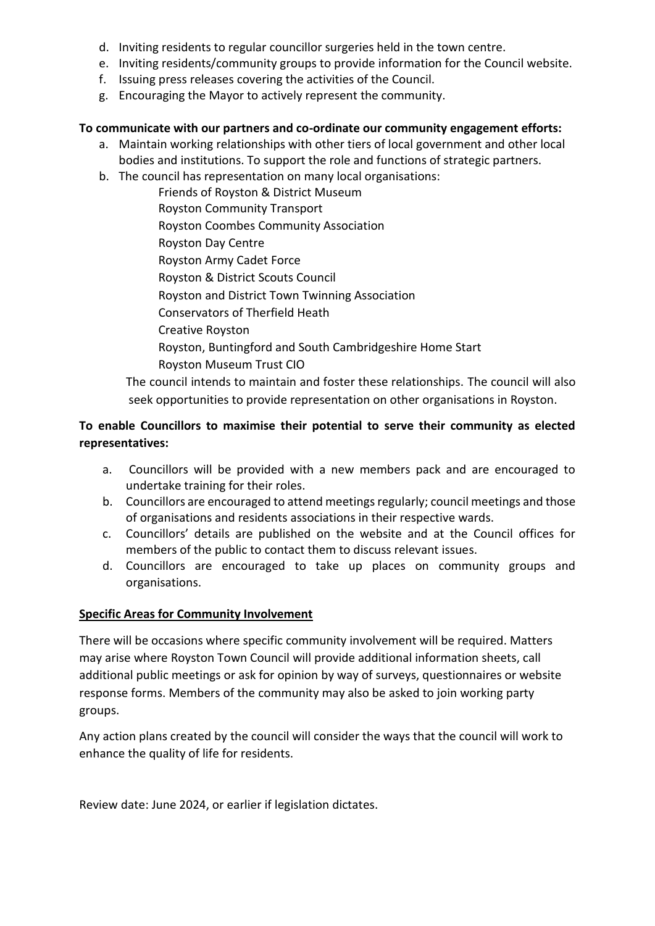- d. Inviting residents to regular councillor surgeries held in the town centre.
- e. Inviting residents/community groups to provide information for the Council website.
- f. Issuing press releases covering the activities of the Council.
- g. Encouraging the Mayor to actively represent the community.

# **To communicate with our partners and co-ordinate our community engagement efforts:**

- a. Maintain working relationships with other tiers of local government and other local bodies and institutions. To support the role and functions of strategic partners.
- b. The council has representation on many local organisations:

Friends of Royston & District Museum Royston Community Transport Royston Coombes Community Association Royston Day Centre Royston Army Cadet Force Royston & District Scouts Council Royston and District Town Twinning Association Conservators of Therfield Heath Creative Royston Royston, Buntingford and South Cambridgeshire Home Start Royston Museum Trust CIO

The council intends to maintain and foster these relationships. The council will also seek opportunities to provide representation on other organisations in Royston.

# **To enable Councillors to maximise their potential to serve their community as elected representatives:**

- a. Councillors will be provided with a new members pack and are encouraged to undertake training for their roles.
- b. Councillors are encouraged to attend meetings regularly; council meetings and those of organisations and residents associations in their respective wards.
- c. Councillors' details are published on the website and at the Council offices for members of the public to contact them to discuss relevant issues.
- d. Councillors are encouraged to take up places on community groups and organisations.

# **Specific Areas for Community Involvement**

There will be occasions where specific community involvement will be required. Matters may arise where Royston Town Council will provide additional information sheets, call additional public meetings or ask for opinion by way of surveys, questionnaires or website response forms. Members of the community may also be asked to join working party groups.

Any action plans created by the council will consider the ways that the council will work to enhance the quality of life for residents.

Review date: June 2024, or earlier if legislation dictates.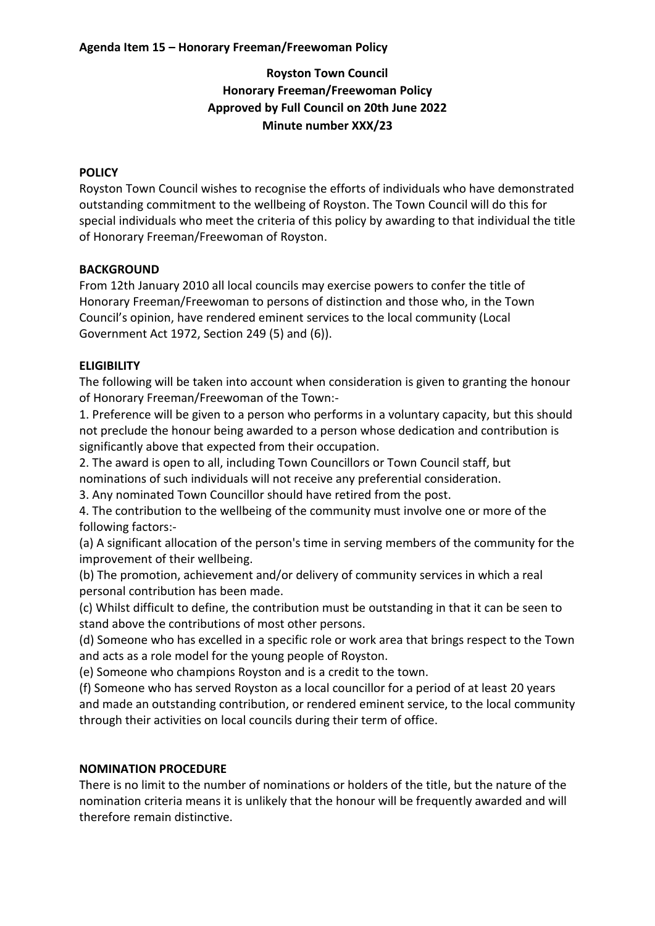### **Agenda Item 15 – Honorary Freeman/Freewoman Policy**

# **Royston Town Council Honorary Freeman/Freewoman Policy Approved by Full Council on 20th June 2022 Minute number XXX/23**

### **POLICY**

Royston Town Council wishes to recognise the efforts of individuals who have demonstrated outstanding commitment to the wellbeing of Royston. The Town Council will do this for special individuals who meet the criteria of this policy by awarding to that individual the title of Honorary Freeman/Freewoman of Royston.

### **BACKGROUND**

From 12th January 2010 all local councils may exercise powers to confer the title of Honorary Freeman/Freewoman to persons of distinction and those who, in the Town Council's opinion, have rendered eminent services to the local community (Local Government Act 1972, Section 249 (5) and (6)).

# **ELIGIBILITY**

The following will be taken into account when consideration is given to granting the honour of Honorary Freeman/Freewoman of the Town:-

1. Preference will be given to a person who performs in a voluntary capacity, but this should not preclude the honour being awarded to a person whose dedication and contribution is significantly above that expected from their occupation.

2. The award is open to all, including Town Councillors or Town Council staff, but

nominations of such individuals will not receive any preferential consideration.

3. Any nominated Town Councillor should have retired from the post.

4. The contribution to the wellbeing of the community must involve one or more of the following factors:-

(a) A significant allocation of the person's time in serving members of the community for the improvement of their wellbeing.

(b) The promotion, achievement and/or delivery of community services in which a real personal contribution has been made.

(c) Whilst difficult to define, the contribution must be outstanding in that it can be seen to stand above the contributions of most other persons.

(d) Someone who has excelled in a specific role or work area that brings respect to the Town and acts as a role model for the young people of Royston.

(e) Someone who champions Royston and is a credit to the town.

(f) Someone who has served Royston as a local councillor for a period of at least 20 years and made an outstanding contribution, or rendered eminent service, to the local community through their activities on local councils during their term of office.

#### **NOMINATION PROCEDURE**

There is no limit to the number of nominations or holders of the title, but the nature of the nomination criteria means it is unlikely that the honour will be frequently awarded and will therefore remain distinctive.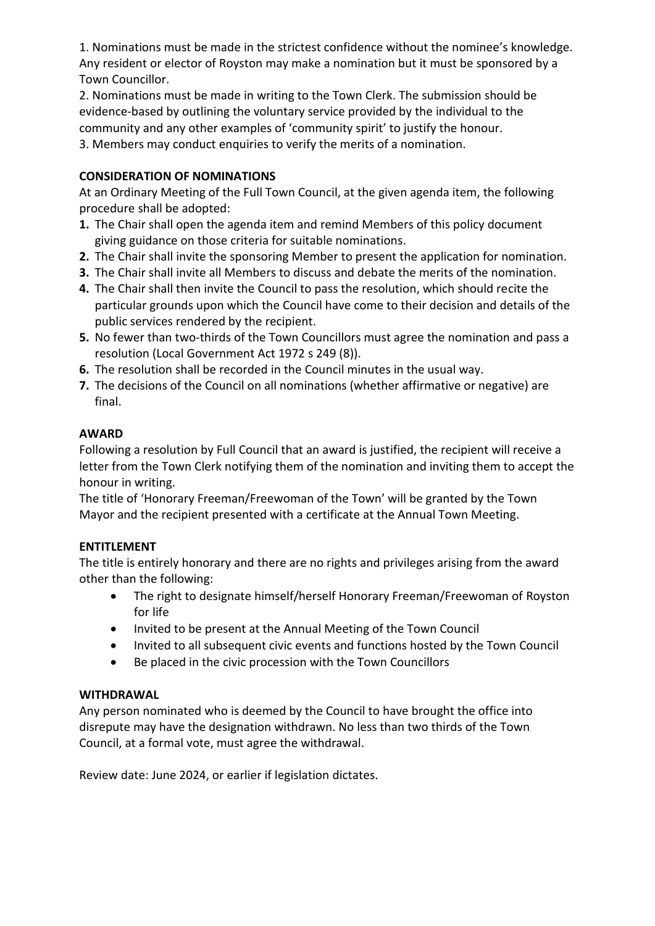1. Nominations must be made in the strictest confidence without the nominee's knowledge. Any resident or elector of Royston may make a nomination but it must be sponsored by a Town Councillor.

2. Nominations must be made in writing to the Town Clerk. The submission should be evidence-based by outlining the voluntary service provided by the individual to the community and any other examples of 'community spirit' to justify the honour.

3. Members may conduct enquiries to verify the merits of a nomination.

# **CONSIDERATION OF NOMINATIONS**

At an Ordinary Meeting of the Full Town Council, at the given agenda item, the following procedure shall be adopted:

- **1.** The Chair shall open the agenda item and remind Members of this policy document giving guidance on those criteria for suitable nominations.
- **2.** The Chair shall invite the sponsoring Member to present the application for nomination.
- **3.** The Chair shall invite all Members to discuss and debate the merits of the nomination.
- **4.** The Chair shall then invite the Council to pass the resolution, which should recite the particular grounds upon which the Council have come to their decision and details of the public services rendered by the recipient.
- **5.** No fewer than two-thirds of the Town Councillors must agree the nomination and pass a resolution (Local Government Act 1972 s 249 (8)).
- **6.** The resolution shall be recorded in the Council minutes in the usual way.
- **7.** The decisions of the Council on all nominations (whether affirmative or negative) are final.

# **AWARD**

Following a resolution by Full Council that an award is justified, the recipient will receive a letter from the Town Clerk notifying them of the nomination and inviting them to accept the honour in writing.

The title of 'Honorary Freeman/Freewoman of the Town' will be granted by the Town Mayor and the recipient presented with a certificate at the Annual Town Meeting.

# **ENTITLEMENT**

The title is entirely honorary and there are no rights and privileges arising from the award other than the following:

- The right to designate himself/herself Honorary Freeman/Freewoman of Royston for life
- Invited to be present at the Annual Meeting of the Town Council
- Invited to all subsequent civic events and functions hosted by the Town Council
- Be placed in the civic procession with the Town Councillors

# **WITHDRAWAL**

Any person nominated who is deemed by the Council to have brought the office into disrepute may have the designation withdrawn. No less than two thirds of the Town Council, at a formal vote, must agree the withdrawal.

Review date: June 2024, or earlier if legislation dictates.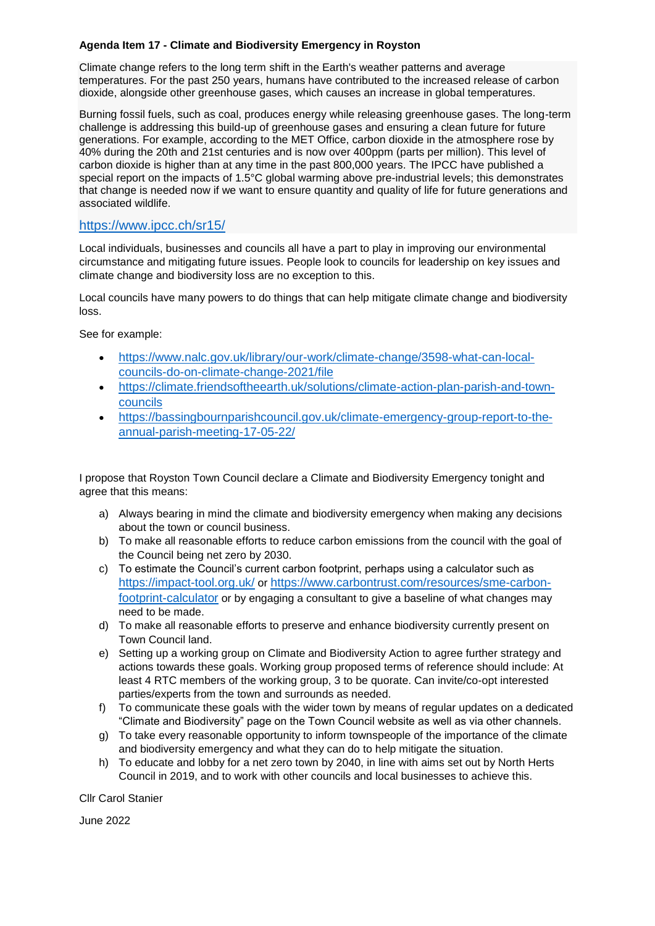#### **Agenda Item 17 - Climate and Biodiversity Emergency in Royston**

Climate change refers to the long term shift in the Earth's weather patterns and average temperatures. For the past 250 years, humans have contributed to the increased release of carbon dioxide, alongside other greenhouse gases, which causes an increase in global temperatures.

Burning fossil fuels, such as coal, produces energy while releasing greenhouse gases. The long-term challenge is addressing this build-up of greenhouse gases and ensuring a clean future for future generations. For example, according to the MET Office, carbon dioxide in the atmosphere rose by 40% during the 20th and 21st centuries and is now over 400ppm (parts per million). This level of carbon dioxide is higher than at any time in the past 800,000 years. The IPCC have published a special report on the impacts of 1.5°C global warming above pre-industrial levels; this demonstrates that change is needed now if we want to ensure quantity and quality of life for future generations and associated wildlife.

### <https://www.ipcc.ch/sr15/>

Local individuals, businesses and councils all have a part to play in improving our environmental circumstance and mitigating future issues. People look to councils for leadership on key issues and climate change and biodiversity loss are no exception to this.

Local councils have many powers to do things that can help mitigate climate change and biodiversity loss.

See for example:

- [https://www.nalc.gov.uk/library/our-work/climate-change/3598-what-can-local](https://www.nalc.gov.uk/library/our-work/climate-change/3598-what-can-local-councils-do-on-climate-change-2021/file)[councils-do-on-climate-change-2021/file](https://www.nalc.gov.uk/library/our-work/climate-change/3598-what-can-local-councils-do-on-climate-change-2021/file)
- [https://climate.friendsoftheearth.uk/solutions/climate-action-plan-parish-and-town](https://climate.friendsoftheearth.uk/solutions/climate-action-plan-parish-and-town-councils)[councils](https://climate.friendsoftheearth.uk/solutions/climate-action-plan-parish-and-town-councils)
- [https://bassingbournparishcouncil.gov.uk/climate-emergency-group-report-to-the](https://bassingbournparishcouncil.gov.uk/climate-emergency-group-report-to-the-annual-parish-meeting-17-05-22/)[annual-parish-meeting-17-05-22/](https://bassingbournparishcouncil.gov.uk/climate-emergency-group-report-to-the-annual-parish-meeting-17-05-22/)

I propose that Royston Town Council declare a Climate and Biodiversity Emergency tonight and agree that this means:

- a) Always bearing in mind the climate and biodiversity emergency when making any decisions about the town or council business.
- b) To make all reasonable efforts to reduce carbon emissions from the council with the goal of the Council being net zero by 2030.
- c) To estimate the Council's current carbon footprint, perhaps using a calculator such as <https://impact-tool.org.uk/> or [https://www.carbontrust.com/resources/sme-carbon](https://www.carbontrust.com/resources/sme-carbon-footprint-calculator)[footprint-calculator](https://www.carbontrust.com/resources/sme-carbon-footprint-calculator) or by engaging a consultant to give a baseline of what changes may need to be made.
- d) To make all reasonable efforts to preserve and enhance biodiversity currently present on Town Council land.
- e) Setting up a working group on Climate and Biodiversity Action to agree further strategy and actions towards these goals. Working group proposed terms of reference should include: At least 4 RTC members of the working group, 3 to be quorate. Can invite/co-opt interested parties/experts from the town and surrounds as needed.
- f) To communicate these goals with the wider town by means of regular updates on a dedicated "Climate and Biodiversity" page on the Town Council website as well as via other channels.
- g) To take every reasonable opportunity to inform townspeople of the importance of the climate and biodiversity emergency and what they can do to help mitigate the situation.
- h) To educate and lobby for a net zero town by 2040, in line with aims set out by North Herts Council in 2019, and to work with other councils and local businesses to achieve this.

Cllr Carol Stanier

June 2022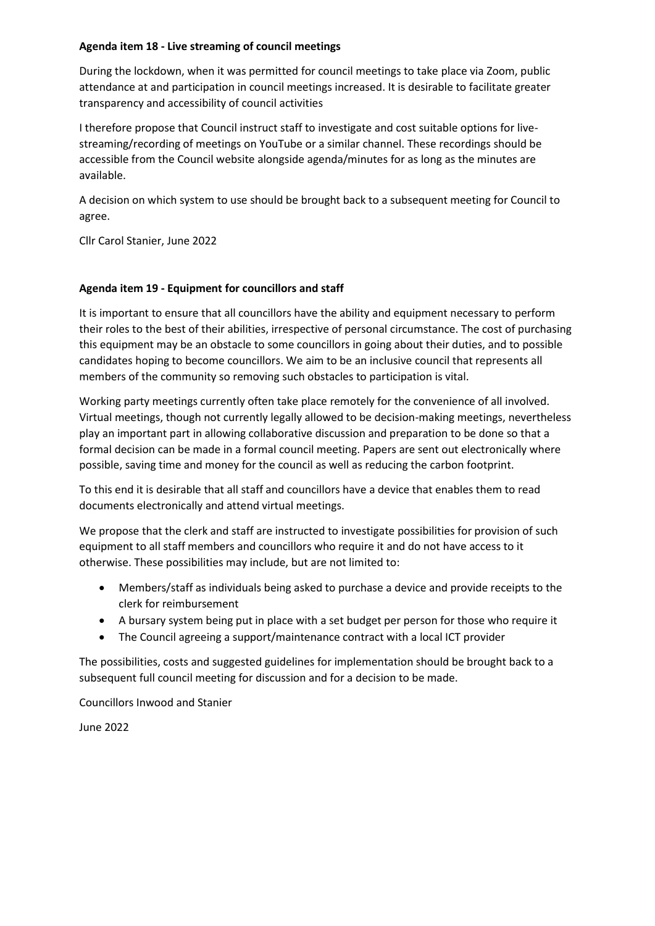#### **Agenda item 18 - Live streaming of council meetings**

During the lockdown, when it was permitted for council meetings to take place via Zoom, public attendance at and participation in council meetings increased. It is desirable to facilitate greater transparency and accessibility of council activities

I therefore propose that Council instruct staff to investigate and cost suitable options for livestreaming/recording of meetings on YouTube or a similar channel. These recordings should be accessible from the Council website alongside agenda/minutes for as long as the minutes are available.

A decision on which system to use should be brought back to a subsequent meeting for Council to agree.

Cllr Carol Stanier, June 2022

#### **Agenda item 19 - Equipment for councillors and staff**

It is important to ensure that all councillors have the ability and equipment necessary to perform their roles to the best of their abilities, irrespective of personal circumstance. The cost of purchasing this equipment may be an obstacle to some councillors in going about their duties, and to possible candidates hoping to become councillors. We aim to be an inclusive council that represents all members of the community so removing such obstacles to participation is vital.

Working party meetings currently often take place remotely for the convenience of all involved. Virtual meetings, though not currently legally allowed to be decision-making meetings, nevertheless play an important part in allowing collaborative discussion and preparation to be done so that a formal decision can be made in a formal council meeting. Papers are sent out electronically where possible, saving time and money for the council as well as reducing the carbon footprint.

To this end it is desirable that all staff and councillors have a device that enables them to read documents electronically and attend virtual meetings.

We propose that the clerk and staff are instructed to investigate possibilities for provision of such equipment to all staff members and councillors who require it and do not have access to it otherwise. These possibilities may include, but are not limited to:

- Members/staff as individuals being asked to purchase a device and provide receipts to the clerk for reimbursement
- A bursary system being put in place with a set budget per person for those who require it
- The Council agreeing a support/maintenance contract with a local ICT provider

The possibilities, costs and suggested guidelines for implementation should be brought back to a subsequent full council meeting for discussion and for a decision to be made.

Councillors Inwood and Stanier

June 2022